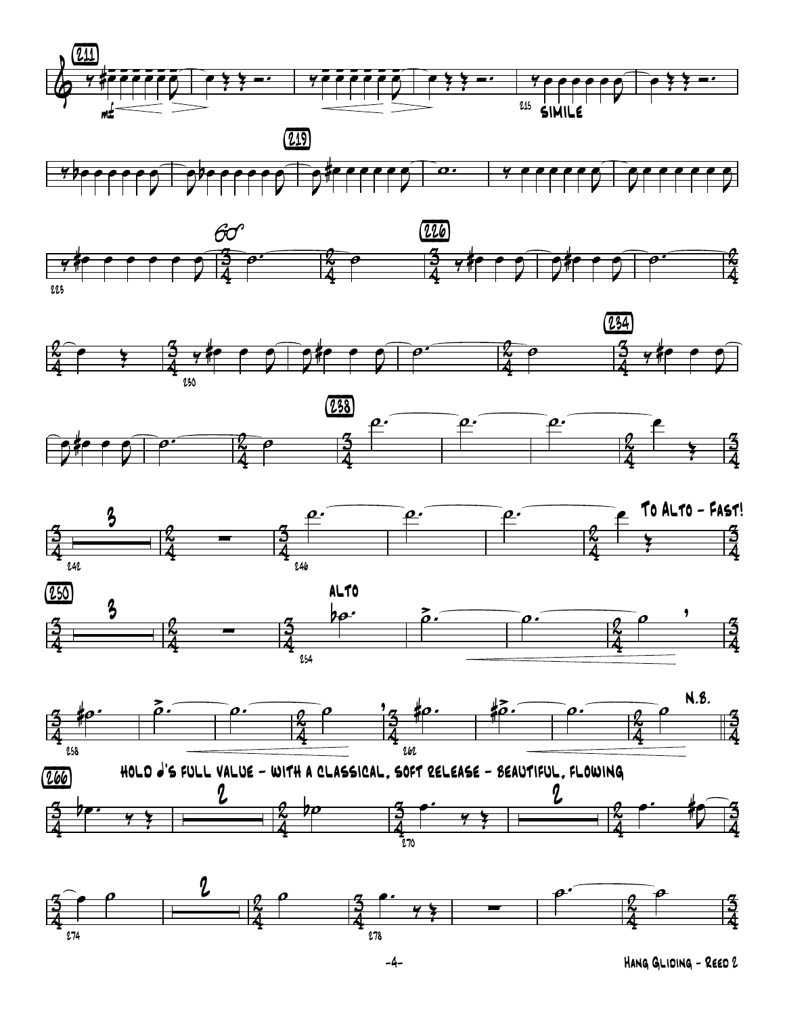





 $\frac{\kappa}{4}$ <u>2</u>  $\frac{1}{4}$ <u> 3</u>  $\frac{\kappa}{4}$ <u>2</u>  $\frac{1}{4}$  $e$   $\frac{3}{2}$   $\frac{1}{2}$   $\frac{1}{2}$   $e$   $\frac{1}{2}$   $\frac{1}{2}$   $\frac{1}{2}$   $\frac{1}{2}$   $\frac{1}{2}$   $\frac{1}{2}$   $\frac{1}{2}$   $\frac{1}{2}$   $\frac{1}{2}$ Œ 230 <mark>y#e e</mark>  $\nabla$ œ  $\nabla$  $e \rightarrow$  $\nabla$  $\overline{e}$   $\overline{e}$   $\overline{k}$   $\overline{e}$ <u>(234)</u> <u>y#e e</u>  $\nabla$ œ